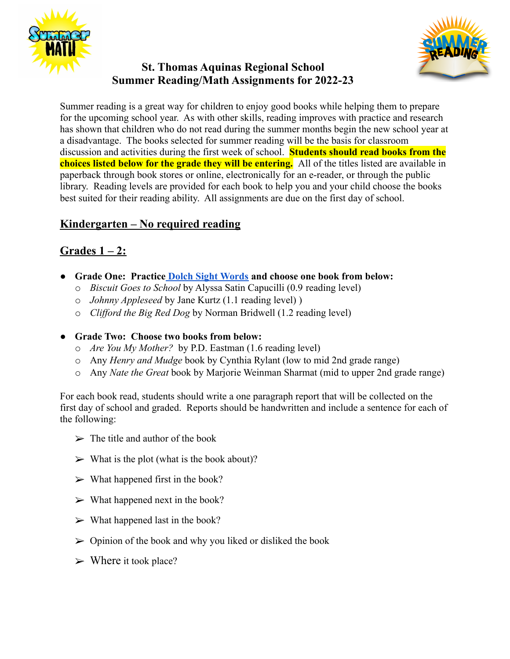





Summer reading is a great way for children to enjoy good books while helping them to prepare for the upcoming school year. As with other skills, reading improves with practice and research has shown that children who do not read during the summer months begin the new school year at a disadvantage. The books selected for summer reading will be the basis for classroom discussion and activities during the first week of school. **Students should read books from the choices listed below for the grade they will be entering.** All of the titles listed are available in paperback through book stores or online, electronically for an e-reader, or through the public library. Reading levels are provided for each book to help you and your child choose the books best suited for their reading ability. All assignments are due on the first day of school.

# **Kindergarten – No required reading**

# **Grades 1 – 2:**

- **● Grade One: Practice [Dolch Sight Words](https://sightwords.com/pdfs/word_lists/dolch_kindergarten.pdf) and choose one book from below:**
	- o *Biscuit Goes to School* by Alyssa Satin Capucilli (0.9 reading level)
	- o *Johnny Appleseed* by Jane Kurtz (1.1 reading level) )
	- o *Clifford the Big Red Dog* by Norman Bridwell (1.2 reading level)

# **Crade Two: Choose two books from below:**

- o *Are You My Mother?* by P.D. Eastman (1.6 reading level)
- o Any *Henry and Mudge* book by Cynthia Rylant (low to mid 2nd grade range)
- o Any *Nate the Great* book by Marjorie Weinman Sharmat (mid to upper 2nd grade range)

For each book read, students should write a one paragraph report that will be collected on the first day of school and graded. Reports should be handwritten and include a sentence for each of the following:

- $\triangleright$  The title and author of the book
- $\triangleright$  What is the plot (what is the book about)?
- $\triangleright$  What happened first in the book?
- $\triangleright$  What happened next in the book?
- $\triangleright$  What happened last in the book?
- $\triangleright$  Opinion of the book and why you liked or disliked the book
- $\triangleright$  Where it took place?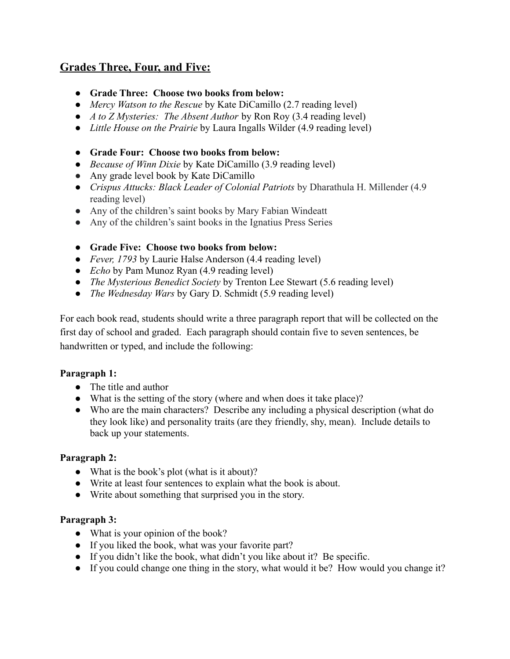# **Grades Three, Four, and Five:**

- **● Grade Three: Choose two books from below:**
- *Mercy Watson to the Rescue* by Kate DiCamillo (2.7 reading level)
- *A to Z Mysteries: The Absent Author* by Ron Roy (3.4 reading level)
- *Little House on the Prairie* by Laura Ingalls Wilder (4.9 reading level)
- **● Grade Four: Choose two books from below:**
- *● Because of Winn Dixie* by Kate DiCamillo (3.9 reading level)
- Any grade level book by Kate DiCamillo
- *● Crispus Attucks: Black Leader of Colonial Patriots* by Dharathula H. Millender (4.9 reading level)
- Any of the children's saint books by Mary Fabian Windeatt
- Any of the children's saint books in the Ignatius Press Series
- **● Grade Five: Choose two books from below:**
- *Fever, 1793* by Laurie Halse Anderson (4.4 reading level)
- *Echo* by Pam Munoz Ryan (4.9 reading level)
- *The Mysterious Benedict Society* by Trenton Lee Stewart (5.6 reading level)
- *The Wednesday Wars* by Gary D. Schmidt (5.9 reading level)

For each book read, students should write a three paragraph report that will be collected on the first day of school and graded. Each paragraph should contain five to seven sentences, be handwritten or typed, and include the following:

# **Paragraph 1:**

- The title and author
- What is the setting of the story (where and when does it take place)?
- Who are the main characters? Describe any including a physical description (what do they look like) and personality traits (are they friendly, shy, mean). Include details to back up your statements.

### **Paragraph 2:**

- What is the book's plot (what is it about)?
- Write at least four sentences to explain what the book is about.
- Write about something that surprised you in the story.

### **Paragraph 3:**

- What is your opinion of the book?
- If you liked the book, what was your favorite part?
- If you didn't like the book, what didn't you like about it? Be specific.
- If you could change one thing in the story, what would it be? How would you change it?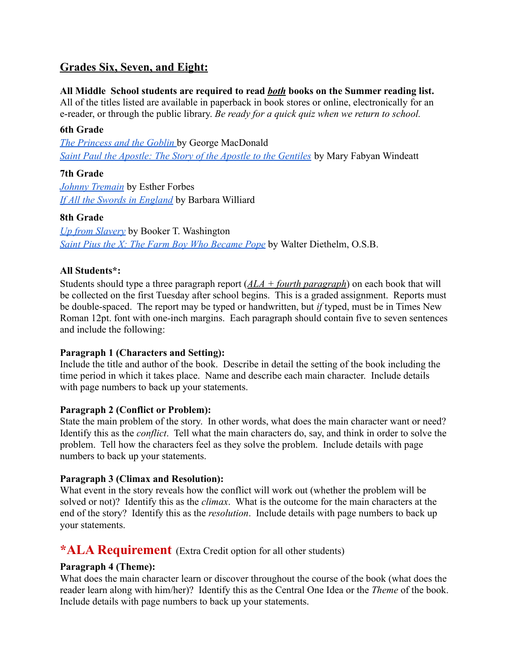# **Grades Six, Seven, and Eight:**

### **All Middle School students are required to read** *both* **books on the Summer reading list.**

All of the titles listed are available in paperback in book stores or online, electronically for an e-reader, or through the public library. *Be ready for a quick quiz when we return to school.*

#### **6th Grade**

*[The Princess and the Goblin](https://www.amazon.com/Princess-Goblin-Illustrated-George-MacDonald/dp/1979086176/ref=pd_lpo_2?pd_rd_i=1979086176&psc=1)* by George MacDonald *[Saint Paul the Apostle: The Story of the Apostle to the Gentiles](https://www.amazon.com/St-Paul-Apostle-Gentiles-Saints/dp/0895554267)* by Mary Fabyan Windeatt

## **7th Grade**

*[Johnny Tremain](https://www.amazon.com/Johnny-Tremain-Esther-Hoskins-Forbes/dp/0547614322/ref=sr_1_1?crid=21M2Q0W3O91LX&keywords=johnny+tremain&qid=1653080039&s=books&sprefix=johhny+tremaine%2Cstripbooks%2C69&sr=1-1)* by Esther Forbes *[If All the Swords in England](https://www.amazon.com/s?k=If+all+the+swords+in+england&i=stripbooks&crid=2OCNTDG8E19C1&sprefix=if+all+the+swords+in+england%2Cstripbooks%2C64&ref=nb_sb_noss_1)* by Barbara Williard

## **8th Grade**

*[Up from Slavery](https://www.amazon.com/Up-Slavery-Dover-Thrift-Editions/dp/0486287386/ref=sr_1_4?crid=22BN9R31FS19R&keywords=Up+from+slavery&qid=1653082286&s=books&sprefix=up+from+slavery%2Cstripbooks%2C69&sr=1-4)* by Booker T. Washington *[Saint Pius the X: The Farm Boy Who Became Pope](https://www.amazon.com/St-Pius-Farm-Became-Pope/dp/0898704693/ref=sr_1_2?crid=SXJ9JFK70OYK&keywords=Saint+Pius+X+farm+boy&qid=1653082334&s=books&sprefix=saint+pius+x+farm+boy%2Cstripbooks%2C76&sr=1-2)* by Walter Diethelm, O.S.B.

## **All Students\*:**

Students should type a three paragraph report (*ALA + fourth paragraph*) on each book that will be collected on the first Tuesday after school begins. This is a graded assignment. Reports must be double-spaced. The report may be typed or handwritten, but *if* typed, must be in Times New Roman 12pt. font with one-inch margins. Each paragraph should contain five to seven sentences and include the following:

### **Paragraph 1 (Characters and Setting):**

Include the title and author of the book. Describe in detail the setting of the book including the time period in which it takes place. Name and describe each main character. Include details with page numbers to back up your statements.

### **Paragraph 2 (Conflict or Problem):**

State the main problem of the story. In other words, what does the main character want or need? Identify this as the *conflict*. Tell what the main characters do, say, and think in order to solve the problem. Tell how the characters feel as they solve the problem. Include details with page numbers to back up your statements.

### **Paragraph 3 (Climax and Resolution):**

What event in the story reveals how the conflict will work out (whether the problem will be solved or not)? Identify this as the *climax*. What is the outcome for the main characters at the end of the story? Identify this as the *resolution*. Include details with page numbers to back up your statements.

# **\*ALA Requirement** (Extra Credit option for all other students)

### **Paragraph 4 (Theme):**

What does the main character learn or discover throughout the course of the book (what does the reader learn along with him/her)? Identify this as the Central One Idea or the *Theme* of the book. Include details with page numbers to back up your statements.